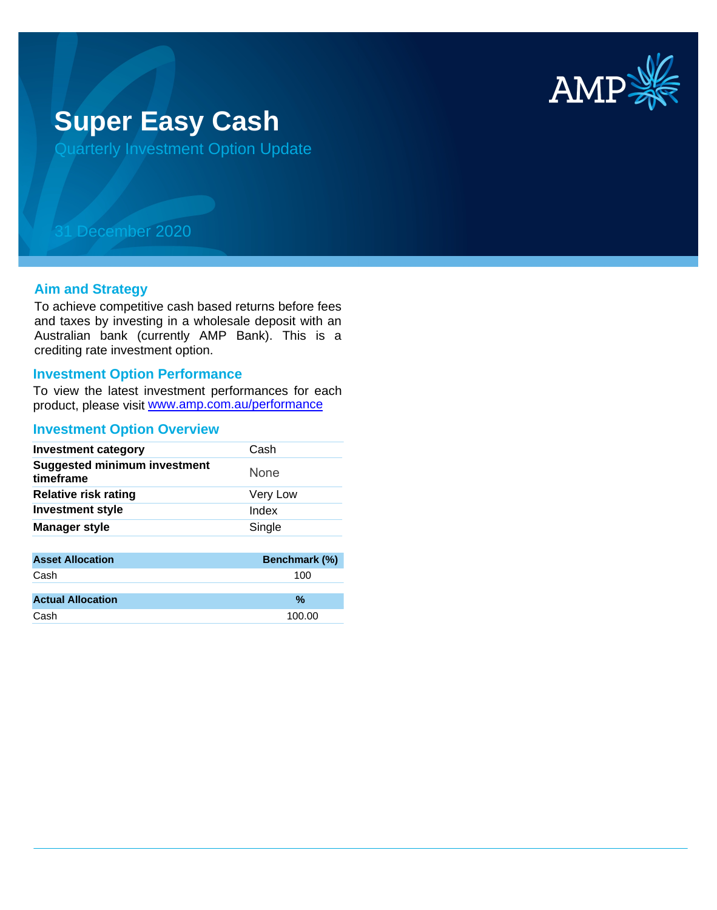

# **Super Easy Cash**

Quarterly Investment Option Update

## 31 December 2020

#### **Aim and Strategy**

To achieve competitive cash based returns before fees and taxes by investing in a wholesale deposit with an Australian bank (currently AMP Bank). This is a crediting rate investment option.

#### **Investment Option Performance**

product, please visit www.amp.com.au/performance To view the latest investment performances for each

#### **Investment Option Overview**

| <b>Investment category</b>                       | Cash        |
|--------------------------------------------------|-------------|
| <b>Suggested minimum investment</b><br>timeframe | <b>None</b> |
| <b>Relative risk rating</b>                      | Very Low    |
| <b>Investment style</b>                          | Index       |
| <b>Manager style</b>                             | Single      |
|                                                  |             |

| <b>Benchmark (%)</b> |
|----------------------|
|                      |
|                      |
|                      |
|                      |
|                      |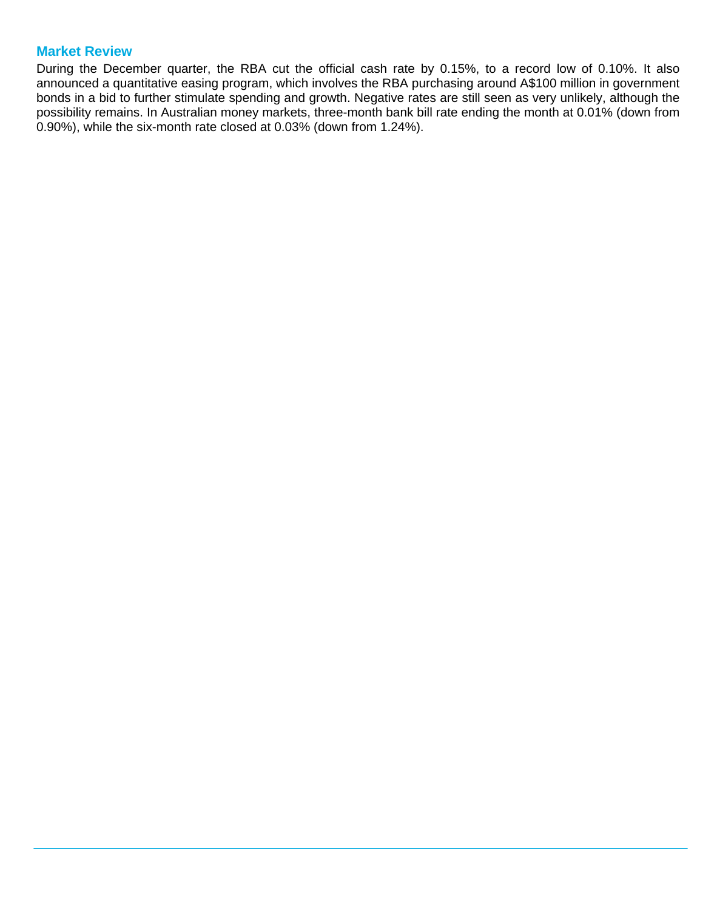### **Market Review**

During the December quarter, the RBA cut the official cash rate by 0.15%, to a record low of 0.10%. It also announced a quantitative easing program, which involves the RBA purchasing around A\$100 million in government bonds in a bid to further stimulate spending and growth. Negative rates are still seen as very unlikely, although the possibility remains. In Australian money markets, three-month bank bill rate ending the month at 0.01% (down from 0.90%), while the six-month rate closed at 0.03% (down from 1.24%).